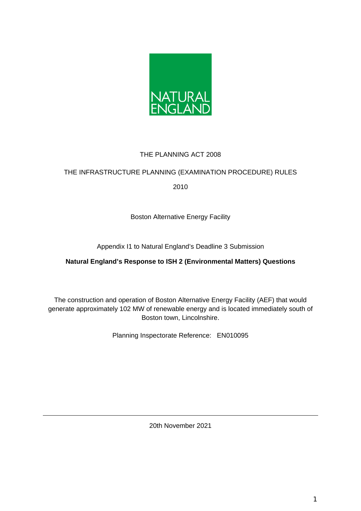

# THE PLANNING ACT 2008

## THE INFRASTRUCTURE PLANNING (EXAMINATION PROCEDURE) RULES

2010

Boston Alternative Energy Facility

Appendix I1 to Natural England's Deadline 3 Submission

## **Natural England's Response to ISH 2 (Environmental Matters) Questions**

The construction and operation of Boston Alternative Energy Facility (AEF) that would generate approximately 102 MW of renewable energy and is located immediately south of Boston town, Lincolnshire.

Planning Inspectorate Reference: EN010095

20th November 2021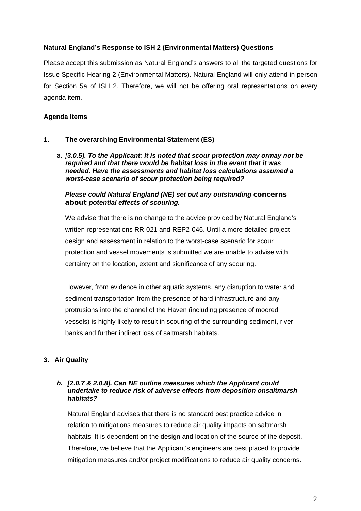### **Natural England's Response to ISH 2 (Environmental Matters) Questions**

Please accept this submission as Natural England's answers to all the targeted questions for Issue Specific Hearing 2 (Environmental Matters). Natural England will only attend in person for Section 5a of ISH 2. Therefore, we will not be offering oral representations on every agenda item.

## **Agenda Items**

### **1. The overarching Environmental Statement (ES)**

a. *[3.0.5]. To the Applicant: It is noted that scour protection may ormay not be required and that there would be habitat loss in the event that it was needed. Have the assessments and habitat loss calculations assumed a worst-case scenario of scour protection being required?*

## *Please could Natural England (NE) set out any outstanding concerns about potential effects of scouring.*

We advise that there is no change to the advice provided by Natural England's written representations RR-021 and REP2-046. Until a more detailed project design and assessment in relation to the worst-case scenario for scour protection and vessel movements is submitted we are unable to advise with certainty on the location, extent and significance of any scouring.

However, from evidence in other aquatic systems, any disruption to water and sediment transportation from the presence of hard infrastructure and any protrusions into the channel of the Haven (including presence of moored vessels) is highly likely to result in scouring of the surrounding sediment, river banks and further indirect loss of saltmarsh habitats.

## **3. Air Quality**

#### *b. [2.0.7 & 2.0.8]. Can NE outline measures which the Applicant could undertake to reduce risk of adverse effects from deposition onsaltmarsh habitats?*

Natural England advises that there is no standard best practice advice in relation to mitigations measures to reduce air quality impacts on saltmarsh habitats. It is dependent on the design and location of the source of the deposit. Therefore, we believe that the Applicant's engineers are best placed to provide mitigation measures and/or project modifications to reduce air quality concerns.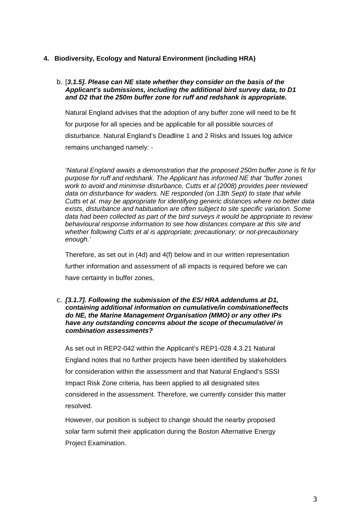### **4. Biodiversity, Ecology and Natural Environment (including HRA)**

#### b. [*3.1.5]. Please can NE state whether they consider on the basis of the Applicant's submissions, including the additional bird survey data, to D1 and D2 that the 250m buffer zone for ruff and redshank is appropriate.*

Natural England advises that the adoption of any buffer zone will need to be fit for purpose for all species and be applicable for all possible sources of disturbance. Natural England's Deadline 1 and 2 Risks and Issues log advice remains unchanged namely: -

*'Natural England awaits a demonstration that the proposed 250m buffer zone is fit for purpose for ruff and redshank. The Applicant has informed NE that "buffer zones work to avoid and minimise disturbance, Cutts et al (2008) provides peer reviewed data on disturbance for waders. NE responded (on 13th Sept) to state that while Cutts et al. may be appropriate for identifying generic distances where no better data exists, disturbance and habituation are often subject to site specific variation. Some data had been collected as part of the bird surveys it would be appropriate to review behavioural response information to see how distances compare at this site and whether following Cutts et al is appropriate; precautionary; or not-precautionary enough.'*

Therefore, as set out in (4d) and 4(f) below and in our written representation further information and assessment of all impacts is required before we can have certainty in buffer zones,

#### c. *[3.1.7]. Following the submission of the ES/ HRA addendums at D1, containing additional information on cumulative/in combinationeffects do NE, the Marine Management Organisation (MMO) or any other IPs have any outstanding concerns about the scope of thecumulative/ in combination assessments?*

As set out in REP2-042 within the Applicant's REP1-028 4.3.21 Natural England notes that no further projects have been identified by stakeholders for consideration within the assessment and that Natural England's SSSI Impact Risk Zone criteria, has been applied to all designated sites considered in the assessment. Therefore, we currently consider this matter resolved.

However, our position is subject to change should the nearby proposed solar farm submit their application during the Boston Alternative Energy Project Examination.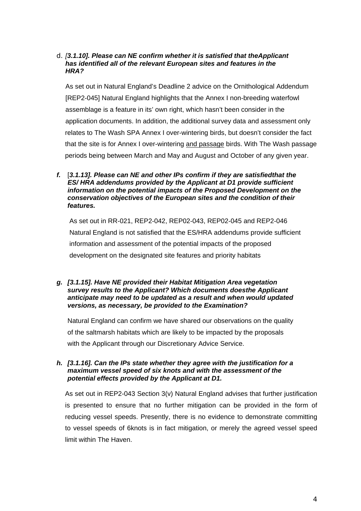### d. *[3.1.10]. Please can NE confirm whether it is satisfied that theApplicant has identified all of the relevant European sites and features in the HRA?*

As set out in Natural England's Deadline 2 advice on the Ornithological Addendum [REP2-045] Natural England highlights that the Annex I non-breeding waterfowl assemblage is a feature in its' own right, which hasn't been consider in the application documents. In addition, the additional survey data and assessment only relates to The Wash SPA Annex I over-wintering birds, but doesn't consider the fact that the site is for Annex I over-wintering and passage birds. With The Wash passage periods being between March and May and August and October of any given year.

*f.* [*3.1.13]. Please can NE and other IPs confirm if they are satisfiedthat the ES/ HRA addendums provided by the Applicant at D1 provide sufficient information on the potential impacts of the Proposed Development on the conservation objectives of the European sites and the condition of their features.*

As set out in RR-021, REP2-042, REP02-043, REP02-045 and REP2-046 Natural England is not satisfied that the ES/HRA addendums provide sufficient information and assessment of the potential impacts of the proposed development on the designated site features and priority habitats

*g. [3.1.15]. Have NE provided their Habitat Mitigation Area vegetation survey results to the Applicant? Which documents doesthe Applicant anticipate may need to be updated as a result and when would updated versions, as necessary, be provided to the Examination?*

Natural England can confirm we have shared our observations on the quality of the saltmarsh habitats which are likely to be impacted by the proposals with the Applicant through our Discretionary Advice Service.

### *h. [3.1.16]. Can the IPs state whether they agree with the justification for a maximum vessel speed of six knots and with the assessment of the potential effects provided by the Applicant at D1.*

As set out in REP2-043 Section 3(v) Natural England advises that further justification is presented to ensure that no further mitigation can be provided in the form of reducing vessel speeds. Presently, there is no evidence to demonstrate committing to vessel speeds of 6knots is in fact mitigation, or merely the agreed vessel speed limit within The Haven.